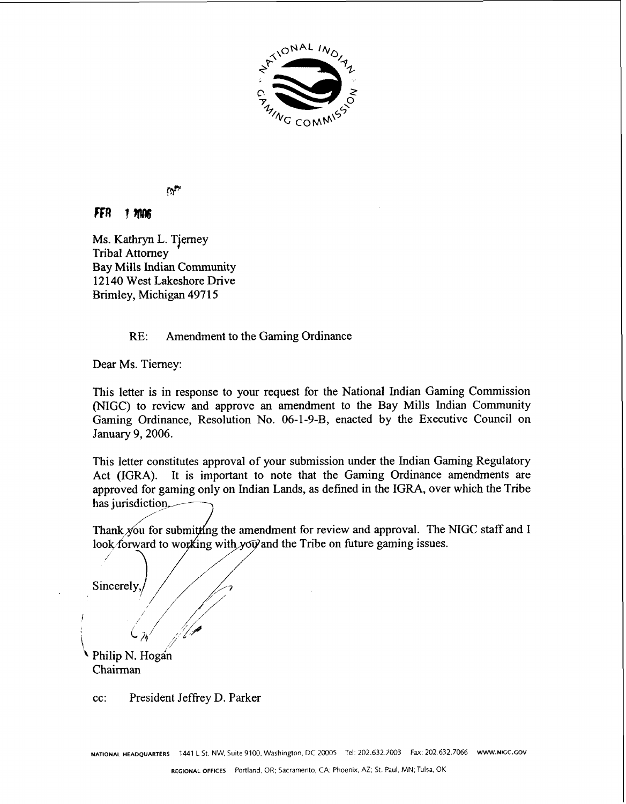

## $\mathfrak{D}^{\mathfrak{p}}$

#### FFA  $1.7006$

Ms. Kathryn L. Tjerney Tribal Attorney Bay Mills Indian Community **12140** West Lakeshore Drive Brimley, Michigan **497 1** 5

# RE: Amendment to the Gaming Ordinance

Dear Ms. Tierney:

This letter is in response to your request for the National Indian Gaming Commission (NIGC) to review and approve an amendment to the Bay Mills Indian Community Gaming Ordinance, Resolution No. **06-1-9-B,** enacted by the Executive Council on January **9,2006.** 

This letter constitutes approval of your submission under the Indian Gaming Regulatory Act (IGRA). It is important to note that the Gaming Ordinance amendments are approved for gaming only on Indian Lands, as defined in the IGRA, over which the Tribe has jurisdiction.

Thank you for submitting the amendment for review and approval. The NIGC staff and I / look forward to working with yow and the Tribe on future gaming issues.

Sincerely

**I** 

\

Philip N. Hogan Chairman

cc: President Jeffrey D. Parker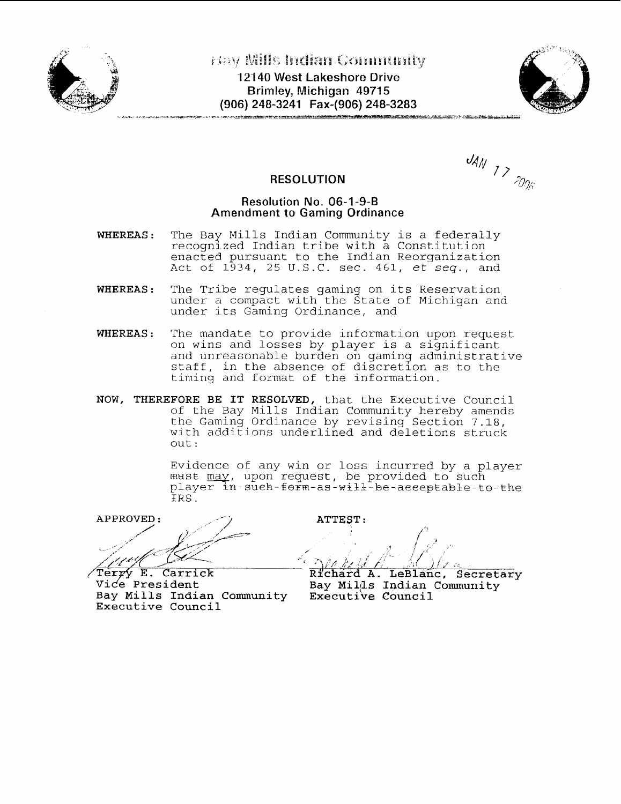



 $U_{AN}$  1 > 2006

**RESOLUTION** 

### **Resolution No. 06-1 -9-B Amendment to Gaming Ordinance**

- **WHEREAS:** The Bay Mills Indian Community is a federally recognized Indian tribe with a Constitution enacted pursuant to the Indian Reorganization Act of  $1\bar{9}34$ , 25 U.S.C. sec. 461,  $e\bar{t}$  seq., and
- **WHEREAS:** The Tribe regulates gaming on its Reservation under a compact with the State of Michigan and under its Gaming Ordinance, and
- **WHEREAS:** The mandate to provide information upon request on wins and losses by player is a significant and unreasonable burden on gaming administrative staff, in the absence of discretion as to the timing and format of the information.
- **NOW, THEREFORE BE IT RESOLVED,** that the Executive Council of the Bay Mills Indian Community hereby amends the Gaming Ordinance by revising Section 7.18, with additions underlined and deletions struck out:

Evidence of any win or loss incurred by a player  $m$ ust  $\overline{may}$ , upon request, be provided to such  $\n player in-sueh-form-as-will-fbe-aceeptable-to-the\n$ IRS .

 $APPROVED:$ 

Bay Mills Indian Community **Executive Council** 

ATTEST: **f <sup>i</sup>**\*,' / *,l* , ... J ' .,< <\*, ; ' /< **If 1' ./e** "( **/J** , \$1 ,,I;. **<sup>i</sup>**

**Terry E. Carrick and Richard A. LeBlanc, Secretary**<br>Vice President and Bay Mills Indian Community Bay Mil<sub>(Is</sub> Indian Community Executive Council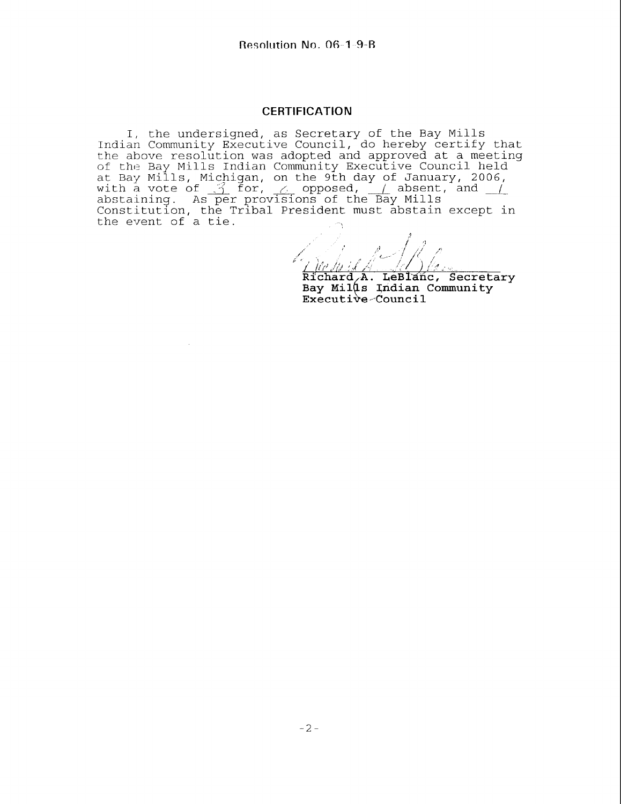#### **CERTIFICATION**

I, the undersigned, as Secretary of the Bay Mills Indian Community Executive Council, do hereby certify that the above resolution was adopted and approved at a meeting of the Bay Mills Indian Community Executive Council held at Bay Mills, Micpigan, on the 9th day of January, 2006, I, the undersigned, as Secretary of the Bay Mills<br>Indian Community Executive Council, do hereby certify that<br>the above resolution was adopted and approved at a meeting<br>of the Bay Mills Indian Community Executive Council h the event of a tie.

Richard A. LeBlanc, Secretary<br>Bay Mills Indian Community Executive-Council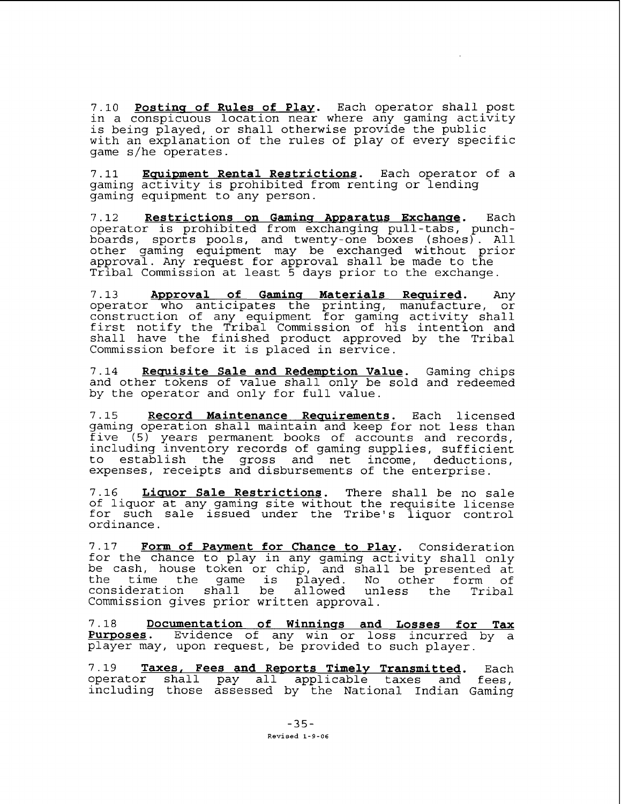7.10 **Postins of Rules of Plav.** Each operator shall post in a conspicuous location near where any gaming activity is being played, or shall otherwise provide the public with an explanation of the rules of play of every specific game s/he operates.

7.11 **Equipment Rental Restrictions.** Each operator of a gaming activity is prohibited from renting or lending gaming equipment to any person.

7.12 **Restrictions on Gamins Awwaratus Exchanse.** Each operator is prohibited from exchanging pull-tabs, punchboards, sports pools, and twenty-one boxes (shoes). All other gaming equipment may be exchanged without prior approval. Any request for approval shall be made to the Tribal Commission at least 5 days prior to the exchange.

7.13 **Approval of Gaming Materials Required.** Any operator who anticipates the printing, manufacture, or construction of any equipment for gaming activity shall first notify the Tribal Commission of his intention and shall have the finished product approved by the Tribal Commission before it is placed in service.

7.14 **Requisite Sale and Redemption Value.** Gaming chips and other tokens of value shall only be sold and redeemed by the operator and only for full value.

7.15 **Record Maintenance Requirements.** Each licensed gaming operation shall maintain and keep for not less than five (5) years permanent books of accounts and records, including inventory records of gaming supplies, sufficient to establish the gross and net income, deductions, expenses, receipts and disbursements of the enterprise.

7.16 **Liquor Sale Restrictions.** There shall be no sale of liquor at any gaming site without the requisite license for such sale issued under the Tribe's liquor control ordinance.

7.17 **Form of Pavment for Chance to Play.** Consideration for the chance to play in any gaming activity shall only be cash, house token or chip, and shall be presented at time the game is played. No other form of<br>deration shall be allowed unless the Tribal consideration shall be allowed unless the Tribal Commission gives prior written approval.

7.18 **Documentation of Winninss and Losses for Tax Purwoses.** Evidence of any win or loss incurred by a player may, upon request, be provided to such player.

7.19 **Taxes, Fees and Reports Timelv Transmitted.** Each operator shall pay all applicable taxes and fees, including those assessed by the National Indian Gaming